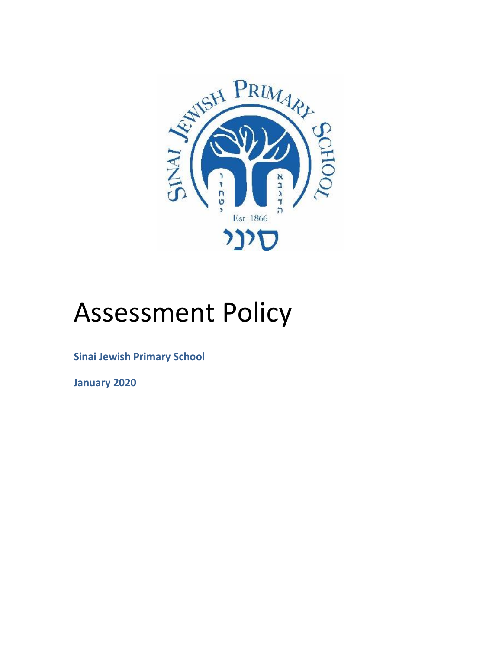

# Assessment Policy

**Sinai Jewish Primary School**

**January 2020**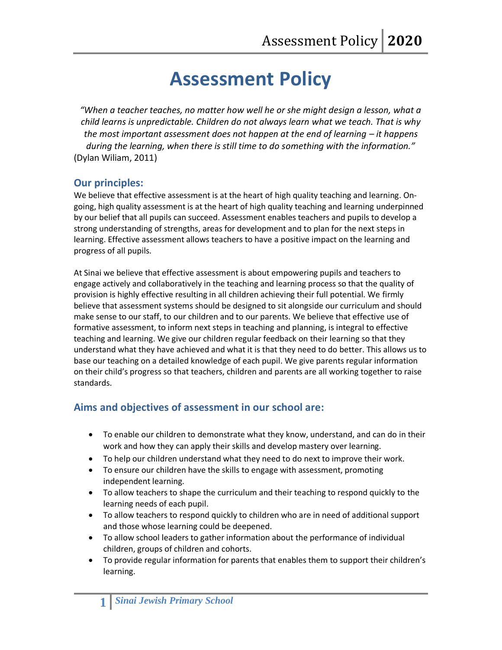# **Assessment Policy**

*"When a teacher teaches, no matter how well he or she might design a lesson, what a child learns is unpredictable. Children do not always learn what we teach. That is why the most important assessment does not happen at the end of learning – it happens during the learning, when there is still time to do something with the information."* (Dylan Wiliam, 2011)

# **Our principles:**

We believe that effective assessment is at the heart of high quality teaching and learning. Ongoing, high quality assessment is at the heart of high quality teaching and learning underpinned by our belief that all pupils can succeed. Assessment enables teachers and pupils to develop a strong understanding of strengths, areas for development and to plan for the next steps in learning. Effective assessment allows teachers to have a positive impact on the learning and progress of all pupils.

At Sinai we believe that effective assessment is about empowering pupils and teachers to engage actively and collaboratively in the teaching and learning process so that the quality of provision is highly effective resulting in all children achieving their full potential. We firmly believe that assessment systems should be designed to sit alongside our curriculum and should make sense to our staff, to our children and to our parents. We believe that effective use of formative assessment, to inform next steps in teaching and planning, is integral to effective teaching and learning. We give our children regular feedback on their learning so that they understand what they have achieved and what it is that they need to do better. This allows us to base our teaching on a detailed knowledge of each pupil. We give parents regular information on their child's progress so that teachers, children and parents are all working together to raise standards.

# **Aims and objectives of assessment in our school are:**

- To enable our children to demonstrate what they know, understand, and can do in their work and how they can apply their skills and develop mastery over learning.
- To help our children understand what they need to do next to improve their work.
- To ensure our children have the skills to engage with assessment, promoting independent learning.
- To allow teachers to shape the curriculum and their teaching to respond quickly to the learning needs of each pupil.
- To allow teachers to respond quickly to children who are in need of additional support and those whose learning could be deepened.
- To allow school leaders to gather information about the performance of individual children, groups of children and cohorts.
- To provide regular information for parents that enables them to support their children's learning.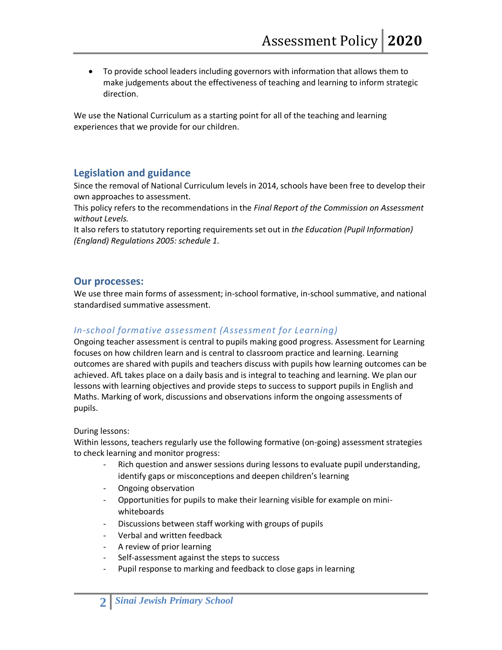To provide school leaders including governors with information that allows them to make judgements about the effectiveness of teaching and learning to inform strategic direction.

We use the National Curriculum as a starting point for all of the teaching and learning experiences that we provide for our children.

# **Legislation and guidance**

Since the removal of National Curriculum levels in 2014, schools have been free to develop their own approaches to assessment.

This policy refers to the recommendations in the *[Final Report of the Commission on Assessment](https://www.gov.uk/government/uploads/system/uploads/attachment_data/file/483058/Commission_on_Assessment_Without_Levels_-_report.pdf)  [without Levels.](https://www.gov.uk/government/uploads/system/uploads/attachment_data/file/483058/Commission_on_Assessment_Without_Levels_-_report.pdf)*

It also refers to statutory reporting requirements set out in *[the Education \(Pupil Information\)](http://www.legislation.gov.uk/uksi/2005/1437/schedule/1/made)  [\(England\) Regulations 2005: schedule 1.](http://www.legislation.gov.uk/uksi/2005/1437/schedule/1/made)*

#### **Our processes:**

We use three main forms of assessment; in-school formative, in-school summative, and national standardised summative assessment.

# *In-school formative assessment (Assessment for Learning)*

Ongoing teacher assessment is central to pupils making good progress. Assessment for Learning focuses on how children learn and is central to classroom practice and learning. Learning outcomes are shared with pupils and teachers discuss with pupils how learning outcomes can be achieved. AfL takes place on a daily basis and is integral to teaching and learning. We plan our lessons with learning objectives and provide steps to success to support pupils in English and Maths. Marking of work, discussions and observations inform the ongoing assessments of pupils.

#### During lessons:

Within lessons, teachers regularly use the following formative (on-going) assessment strategies to check learning and monitor progress:

- Rich question and answer sessions during lessons to evaluate pupil understanding, identify gaps or misconceptions and deepen children's learning
- Ongoing observation
- Opportunities for pupils to make their learning visible for example on miniwhiteboards
- Discussions between staff working with groups of pupils
- Verbal and written feedback
- A review of prior learning
- Self-assessment against the steps to success
- Pupil response to marking and feedback to close gaps in learning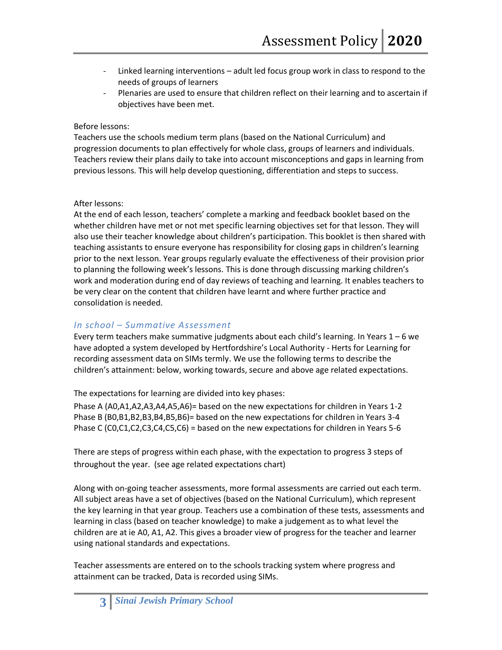- Linked learning interventions adult led focus group work in class to respond to the needs of groups of learners
- Plenaries are used to ensure that children reflect on their learning and to ascertain if objectives have been met.

#### Before lessons:

Teachers use the schools medium term plans (based on the National Curriculum) and progression documents to plan effectively for whole class, groups of learners and individuals. Teachers review their plans daily to take into account misconceptions and gaps in learning from previous lessons. This will help develop questioning, differentiation and steps to success.

#### After lessons:

At the end of each lesson, teachers' complete a marking and feedback booklet based on the whether children have met or not met specific learning objectives set for that lesson. They will also use their teacher knowledge about children's participation. This booklet is then shared with teaching assistants to ensure everyone has responsibility for closing gaps in children's learning prior to the next lesson. Year groups regularly evaluate the effectiveness of their provision prior to planning the following week's lessons. This is done through discussing marking children's work and moderation during end of day reviews of teaching and learning. It enables teachers to be very clear on the content that children have learnt and where further practice and consolidation is needed.

#### *In school – Summative Assessment*

Every term teachers make summative judgments about each child's learning. In Years 1 – 6 we have adopted a system developed by Hertfordshire's Local Authority - Herts for Learning for recording assessment data on SIMs termly. We use the following terms to describe the children's attainment: below, working towards, secure and above age related expectations.

The expectations for learning are divided into key phases:

Phase A (A0,A1,A2,A3,A4,A5,A6)= based on the new expectations for children in Years 1-2 Phase B (B0,B1,B2,B3,B4,B5,B6)= based on the new expectations for children in Years 3-4 Phase C (C0,C1,C2,C3,C4,C5,C6) = based on the new expectations for children in Years 5-6

There are steps of progress within each phase, with the expectation to progress 3 steps of throughout the year. (see age related expectations chart)

Along with on-going teacher assessments, more formal assessments are carried out each term. All subject areas have a set of objectives (based on the National Curriculum), which represent the key learning in that year group. Teachers use a combination of these tests, assessments and learning in class (based on teacher knowledge) to make a judgement as to what level the children are at ie A0, A1, A2. This gives a broader view of progress for the teacher and learner using national standards and expectations.

Teacher assessments are entered on to the schools tracking system where progress and attainment can be tracked, Data is recorded using SIMs.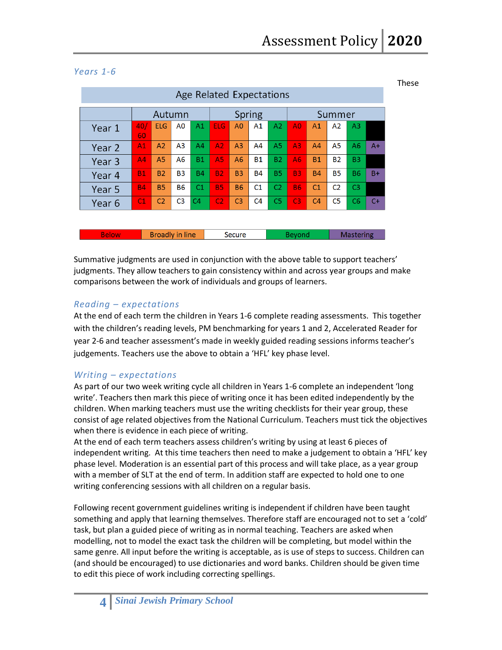These

| Age Related Expectations |                |                        |                |                |                |                |                |                |                |                |                |                  |      |
|--------------------------|----------------|------------------------|----------------|----------------|----------------|----------------|----------------|----------------|----------------|----------------|----------------|------------------|------|
|                          | Autumn         |                        |                | Spring         |                |                | Summer         |                |                |                |                |                  |      |
| Year 1                   | 40/<br>60      | <b>ELG</b>             | A0             | A1             | <b>ELG</b>     | A <sub>0</sub> | A <sub>1</sub> | A2             | A <sub>0</sub> | A <sub>1</sub> | A2             | A <sub>3</sub>   |      |
| Year 2                   | A <sub>1</sub> | A <sub>2</sub>         | A <sub>3</sub> | A <sub>4</sub> | A2             | A <sub>3</sub> | A <sub>4</sub> | A <sub>5</sub> | A <sub>3</sub> | AA             | <b>A5</b>      | A6               | $A+$ |
| Year 3                   | A <sub>4</sub> | A <sub>5</sub>         | A <sub>6</sub> | <b>B1</b>      | A5             | A <sub>6</sub> | <b>B1</b>      | <b>B2</b>      | <b>A6</b>      | <b>B1</b>      | <b>B2</b>      | B <sub>3</sub>   |      |
| Year 4                   | <b>B1</b>      | <b>B2</b>              | <b>B3</b>      | <b>B4</b>      | <b>B2</b>      | <b>B3</b>      | <b>B4</b>      | <b>B5</b>      | <b>B3</b>      | <b>B4</b>      | <b>B5</b>      | <b>B6</b>        | $B+$ |
| Year 5                   | <b>B4</b>      | <b>B5</b>              | <b>B6</b>      | C <sub>1</sub> | <b>B5</b>      | <b>B6</b>      | C <sub>1</sub> | C <sub>2</sub> | <b>B6</b>      | C <sub>1</sub> | C <sub>2</sub> | C <sub>3</sub>   |      |
| Year 6                   | C1             | C <sub>2</sub>         | C <sub>3</sub> | C <sub>4</sub> | C <sub>2</sub> | C <sub>3</sub> | C <sub>4</sub> | C <sub>5</sub> | C <sub>3</sub> | C <sub>4</sub> | C <sub>5</sub> | C <sub>6</sub>   | $C+$ |
|                          |                |                        |                |                |                |                |                |                |                |                |                |                  |      |
| <b>Below</b>             |                | <b>Broadly in line</b> |                |                |                | Secure         |                |                | <b>Beyond</b>  |                |                | <b>Mastering</b> |      |

#### *Years 1-6*

Summative judgments are used in conjunction with the above table to support teachers' judgments. They allow teachers to gain consistency within and across year groups and make comparisons between the work of individuals and groups of learners.

#### *Reading – expectations*

At the end of each term the children in Years 1-6 complete reading assessments. This together with the children's reading levels, PM benchmarking for years 1 and 2, Accelerated Reader for year 2-6 and teacher assessment's made in weekly guided reading sessions informs teacher's judgements. Teachers use the above to obtain a 'HFL' key phase level.

#### *Writing – expectations*

As part of our two week writing cycle all children in Years 1-6 complete an independent 'long write'. Teachers then mark this piece of writing once it has been edited independently by the children. When marking teachers must use the writing checklists for their year group, these consist of age related objectives from the National Curriculum. Teachers must tick the objectives when there is evidence in each piece of writing.

At the end of each term teachers assess children's writing by using at least 6 pieces of independent writing. At this time teachers then need to make a judgement to obtain a 'HFL' key phase level. Moderation is an essential part of this process and will take place, as a year group with a member of SLT at the end of term. In addition staff are expected to hold one to one writing conferencing sessions with all children on a regular basis.

Following recent government guidelines writing is independent if children have been taught something and apply that learning themselves. Therefore staff are encouraged not to set a 'cold' task, but plan a guided piece of writing as in normal teaching. Teachers are asked when modelling, not to model the exact task the children will be completing, but model within the same genre. All input before the writing is acceptable, as is use of steps to success. Children can (and should be encouraged) to use dictionaries and word banks. Children should be given time to edit this piece of work including correcting spellings.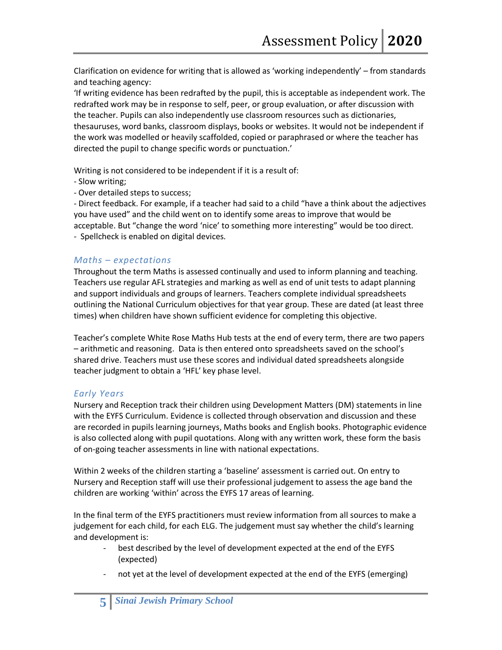Clarification on evidence for writing that is allowed as 'working independently' – from standards and teaching agency:

'If writing evidence has been redrafted by the pupil, this is acceptable as independent work. The redrafted work may be in response to self, peer, or group evaluation, or after discussion with the teacher. Pupils can also independently use classroom resources such as dictionaries, thesauruses, word banks, classroom displays, books or websites. It would not be independent if the work was modelled or heavily scaffolded, copied or paraphrased or where the teacher has directed the pupil to change specific words or punctuation.'

Writing is not considered to be independent if it is a result of:

- Slow writing;
- Over detailed steps to success;

- Direct feedback. For example, if a teacher had said to a child "have a think about the adjectives you have used" and the child went on to identify some areas to improve that would be acceptable. But "change the word 'nice' to something more interesting" would be too direct. - Spellcheck is enabled on digital devices.

#### *Maths – expectations*

Throughout the term Maths is assessed continually and used to inform planning and teaching. Teachers use regular AFL strategies and marking as well as end of unit tests to adapt planning and support individuals and groups of learners. Teachers complete individual spreadsheets outlining the National Curriculum objectives for that year group. These are dated (at least three times) when children have shown sufficient evidence for completing this objective.

Teacher's complete White Rose Maths Hub tests at the end of every term, there are two papers – arithmetic and reasoning. Data is then entered onto spreadsheets saved on the school's shared drive. Teachers must use these scores and individual dated spreadsheets alongside teacher judgment to obtain a 'HFL' key phase level.

# *Early Years*

Nursery and Reception track their children using Development Matters (DM) statements in line with the EYFS Curriculum. Evidence is collected through observation and discussion and these are recorded in pupils learning journeys, Maths books and English books. Photographic evidence is also collected along with pupil quotations. Along with any written work, these form the basis of on-going teacher assessments in line with national expectations.

Within 2 weeks of the children starting a 'baseline' assessment is carried out. On entry to Nursery and Reception staff will use their professional judgement to assess the age band the children are working 'within' across the EYFS 17 areas of learning.

In the final term of the EYFS practitioners must review information from all sources to make a judgement for each child, for each ELG. The judgement must say whether the child's learning and development is:

- best described by the level of development expected at the end of the EYFS (expected)
- not yet at the level of development expected at the end of the EYFS (emerging)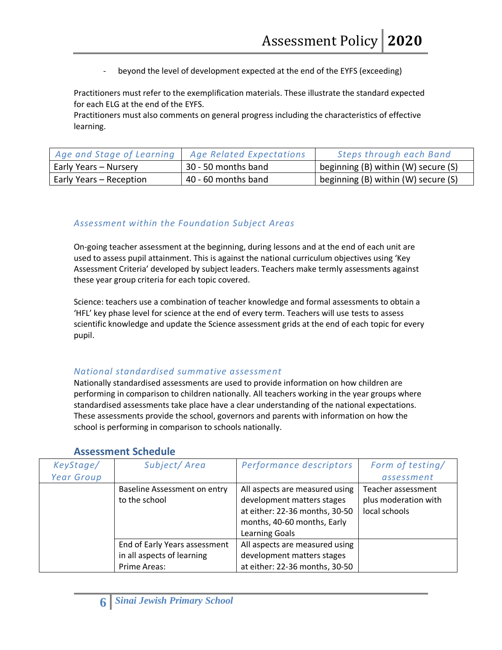beyond the level of development expected at the end of the EYFS (exceeding)

Practitioners must refer to the exemplification materials. These illustrate the standard expected for each ELG at the end of the EYFS.

Practitioners must also comments on general progress including the characteristics of effective learning.

| Age and Stage of Learning | Age Related Expectations | Steps through each Band             |
|---------------------------|--------------------------|-------------------------------------|
| Early Years – Nursery     | 30 - 50 months band      | beginning (B) within (W) secure (S) |
| Early Years – Reception   | 40 - 60 months band      | beginning (B) within (W) secure (S) |

# *Assessment within the Foundation Subject Areas*

On-going teacher assessment at the beginning, during lessons and at the end of each unit are used to assess pupil attainment. This is against the national curriculum objectives using 'Key Assessment Criteria' developed by subject leaders. Teachers make termly assessments against these year group criteria for each topic covered.

Science: teachers use a combination of teacher knowledge and formal assessments to obtain a 'HFL' key phase level for science at the end of every term. Teachers will use tests to assess scientific knowledge and update the Science assessment grids at the end of each topic for every pupil.

#### *National standardised summative assessment*

Nationally standardised assessments are used to provide information on how children are performing in comparison to children nationally. All teachers working in the year groups where standardised assessments take place have a clear understanding of the national expectations. These assessments provide the school, governors and parents with information on how the school is performing in comparison to schools nationally.

| KeyStage/         | Subject/Area                  | Performance descriptors        | Form of testing/     |
|-------------------|-------------------------------|--------------------------------|----------------------|
| <b>Year Group</b> |                               |                                | assessment           |
|                   | Baseline Assessment on entry  | All aspects are measured using | Teacher assessment   |
|                   | to the school                 | development matters stages     | plus moderation with |
|                   |                               | at either: 22-36 months, 30-50 | local schools        |
|                   |                               | months, 40-60 months, Early    |                      |
|                   |                               | <b>Learning Goals</b>          |                      |
|                   | End of Early Years assessment | All aspects are measured using |                      |
|                   | in all aspects of learning    | development matters stages     |                      |
|                   | Prime Areas:                  | at either: 22-36 months, 30-50 |                      |

#### **Assessment Schedule**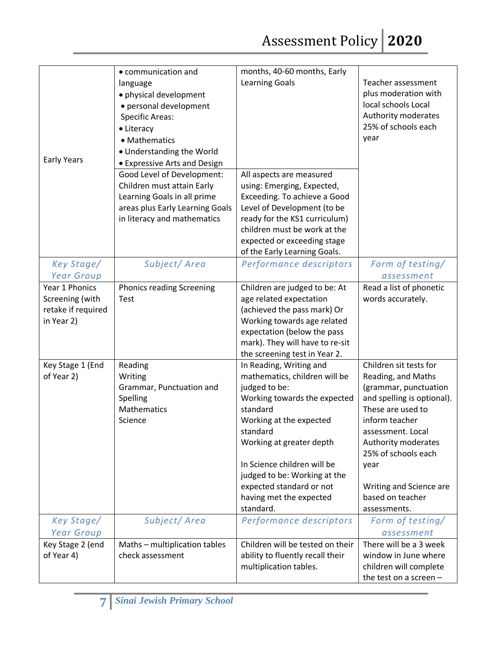Assessment Policy **2020**

|                    | • communication and              | months, 40-60 months, Early      |                            |
|--------------------|----------------------------------|----------------------------------|----------------------------|
|                    | language                         | <b>Learning Goals</b>            | Teacher assessment         |
|                    | · physical development           |                                  | plus moderation with       |
|                    |                                  |                                  | local schools Local        |
|                    | · personal development           |                                  | Authority moderates        |
|                    | <b>Specific Areas:</b>           |                                  |                            |
|                    | • Literacy                       |                                  | 25% of schools each        |
|                    | • Mathematics                    |                                  | year                       |
|                    | • Understanding the World        |                                  |                            |
| Early Years        | • Expressive Arts and Design     |                                  |                            |
|                    | Good Level of Development:       | All aspects are measured         |                            |
|                    | Children must attain Early       | using: Emerging, Expected,       |                            |
|                    | Learning Goals in all prime      | Exceeding. To achieve a Good     |                            |
|                    | areas plus Early Learning Goals  | Level of Development (to be      |                            |
|                    | in literacy and mathematics      | ready for the KS1 curriculum)    |                            |
|                    |                                  | children must be work at the     |                            |
|                    |                                  | expected or exceeding stage      |                            |
|                    |                                  | of the Early Learning Goals.     |                            |
| Key Stage/         | Subject/Area                     | Performance descriptors          | Form of testing/           |
| <b>Year Group</b>  |                                  |                                  | assessment                 |
| Year 1 Phonics     | <b>Phonics reading Screening</b> | Children are judged to be: At    | Read a list of phonetic    |
| Screening (with    | Test                             | age related expectation          | words accurately.          |
| retake if required |                                  | (achieved the pass mark) Or      |                            |
| in Year 2)         |                                  | Working towards age related      |                            |
|                    |                                  | expectation (below the pass      |                            |
|                    |                                  | mark). They will have to re-sit  |                            |
|                    |                                  | the screening test in Year 2.    |                            |
| Key Stage 1 (End   | Reading                          | In Reading, Writing and          | Children sit tests for     |
| of Year 2)         | Writing                          | mathematics, children will be    | Reading, and Maths         |
|                    | Grammar, Punctuation and         | judged to be:                    | (grammar, punctuation      |
|                    | Spelling                         | Working towards the expected     | and spelling is optional). |
|                    | Mathematics                      | standard                         | These are used to          |
|                    | Science                          | Working at the expected          | inform teacher             |
|                    |                                  | standard                         | assessment. Local          |
|                    |                                  | Working at greater depth         | Authority moderates        |
|                    |                                  |                                  | 25% of schools each        |
|                    |                                  | In Science children will be      | year                       |
|                    |                                  | judged to be: Working at the     |                            |
|                    |                                  | expected standard or not         | Writing and Science are    |
|                    |                                  | having met the expected          | based on teacher           |
|                    |                                  | standard.                        | assessments.               |
| Key Stage/         | Subject/Area                     | Performance descriptors          | Form of testing/           |
| <b>Year Group</b>  |                                  |                                  | assessment                 |
| Key Stage 2 (end   | Maths - multiplication tables    | Children will be tested on their | There will be a 3 week     |
| of Year 4)         | check assessment                 | ability to fluently recall their | window in June where       |
|                    |                                  | multiplication tables.           | children will complete     |
|                    |                                  |                                  | the test on a screen -     |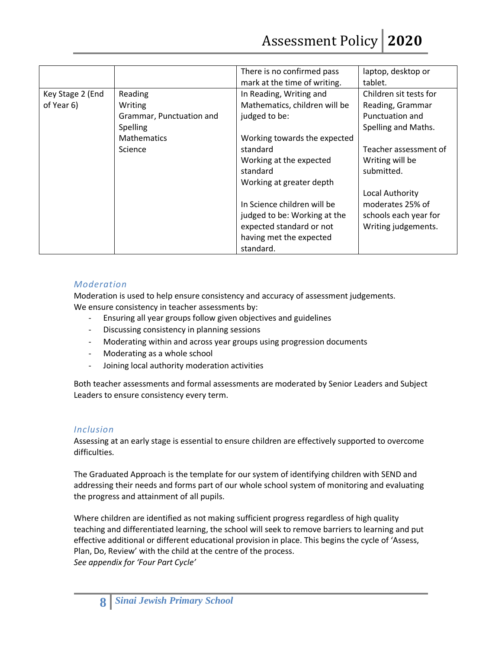|                  |                          | There is no confirmed pass    | laptop, desktop or     |
|------------------|--------------------------|-------------------------------|------------------------|
|                  |                          | mark at the time of writing.  | tablet.                |
| Key Stage 2 (End | Reading                  | In Reading, Writing and       | Children sit tests for |
| of Year 6)       | Writing                  | Mathematics, children will be | Reading, Grammar       |
|                  | Grammar, Punctuation and | judged to be:                 | Punctuation and        |
|                  | <b>Spelling</b>          |                               | Spelling and Maths.    |
|                  | <b>Mathematics</b>       | Working towards the expected  |                        |
|                  | Science                  | standard                      | Teacher assessment of  |
|                  |                          | Working at the expected       | Writing will be        |
|                  |                          | standard                      | submitted.             |
|                  |                          | Working at greater depth      |                        |
|                  |                          |                               | Local Authority        |
|                  |                          | In Science children will be   | moderates 25% of       |
|                  |                          | judged to be: Working at the  | schools each year for  |
|                  |                          | expected standard or not      | Writing judgements.    |
|                  |                          | having met the expected       |                        |
|                  |                          | standard.                     |                        |

#### *Moderation*

Moderation is used to help ensure consistency and accuracy of assessment judgements. We ensure consistency in teacher assessments by:

- Ensuring all year groups follow given objectives and guidelines
- Discussing consistency in planning sessions
- Moderating within and across year groups using progression documents
- Moderating as a whole school
- Joining local authority moderation activities

Both teacher assessments and formal assessments are moderated by Senior Leaders and Subject Leaders to ensure consistency every term.

#### *Inclusion*

Assessing at an early stage is essential to ensure children are effectively supported to overcome difficulties.

The Graduated Approach is the template for our system of identifying children with SEND and addressing their needs and forms part of our whole school system of monitoring and evaluating the progress and attainment of all pupils.

Where children are identified as not making sufficient progress regardless of high quality teaching and differentiated learning, the school will seek to remove barriers to learning and put effective additional or different educational provision in place. This begins the cycle of 'Assess, Plan, Do, Review' with the child at the centre of the process. *See appendix for 'Four Part Cycle'*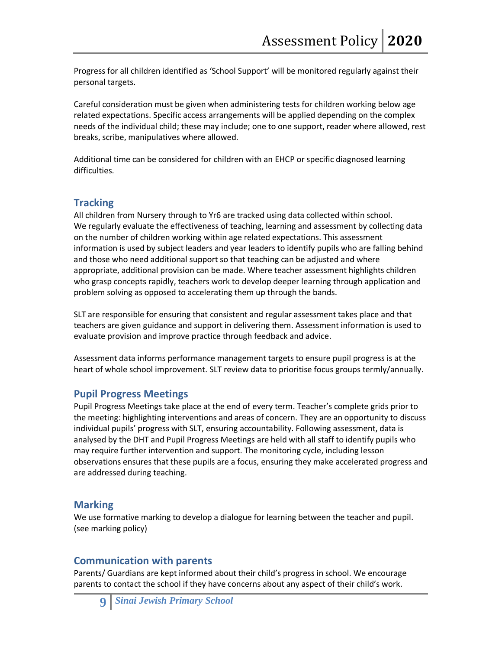Progress for all children identified as 'School Support' will be monitored regularly against their personal targets.

Careful consideration must be given when administering tests for children working below age related expectations. Specific access arrangements will be applied depending on the complex needs of the individual child; these may include; one to one support, reader where allowed, rest breaks, scribe, manipulatives where allowed.

Additional time can be considered for children with an EHCP or specific diagnosed learning difficulties.

# **Tracking**

All children from Nursery through to Yr6 are tracked using data collected within school. We regularly evaluate the effectiveness of teaching, learning and assessment by collecting data on the number of children working within age related expectations. This assessment information is used by subject leaders and year leaders to identify pupils who are falling behind and those who need additional support so that teaching can be adjusted and where appropriate, additional provision can be made. Where teacher assessment highlights children who grasp concepts rapidly, teachers work to develop deeper learning through application and problem solving as opposed to accelerating them up through the bands.

SLT are responsible for ensuring that consistent and regular assessment takes place and that teachers are given guidance and support in delivering them. Assessment information is used to evaluate provision and improve practice through feedback and advice.

Assessment data informs performance management targets to ensure pupil progress is at the heart of whole school improvement. SLT review data to prioritise focus groups termly/annually.

# **Pupil Progress Meetings**

Pupil Progress Meetings take place at the end of every term. Teacher's complete grids prior to the meeting: highlighting interventions and areas of concern. They are an opportunity to discuss individual pupils' progress with SLT, ensuring accountability. Following assessment, data is analysed by the DHT and Pupil Progress Meetings are held with all staff to identify pupils who may require further intervention and support. The monitoring cycle, including lesson observations ensures that these pupils are a focus, ensuring they make accelerated progress and are addressed during teaching.

#### **Marking**

We use formative marking to develop a dialogue for learning between the teacher and pupil. (see marking policy)

# **Communication with parents**

Parents/ Guardians are kept informed about their child's progress in school. We encourage parents to contact the school if they have concerns about any aspect of their child's work.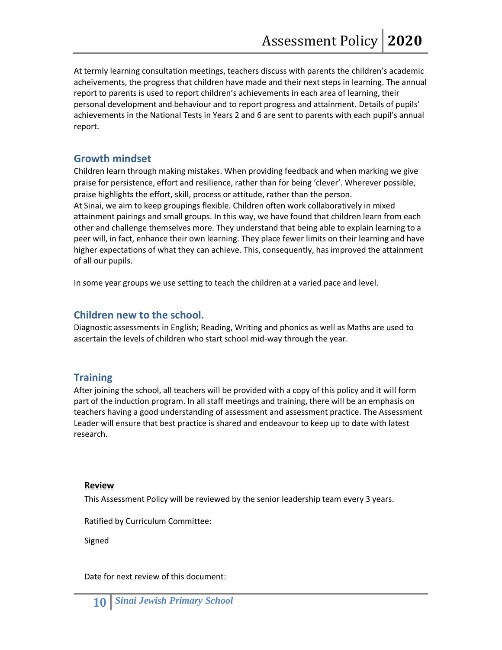At termly learning consultation meetings, teachers discuss with parents the children's academic acheivements, the progress that children have made and their next steps in learning. The annual report to parents is used to report children's achievements in each area of learning, their personal development and behaviour and to report progress and attainment. Details of pupils' achievements in the National Tests in Years 2 and 6 are sent to parents with each pupil's annual report.

# **Growth mindset**

Children learn through making mistakes. When providing feedback and when marking we give praise for persistence, effort and resilience, rather than for being 'clever'. Wherever possible, praise highlights the effort, skill, process or attitude, rather than the person. At Sinai, we aim to keep groupings flexible. Children often work collaboratively in mixed attainment pairings and small groups. In this way, we have found that children learn from each other and challenge themselves more. They understand that being able to explain learning to a peer will, in fact, enhance their own learning. They place fewer limits on their learning and have higher expectations of what they can achieve. This, consequently, has improved the attainment of all our pupils.

In some year groups we use setting to teach the children at a varied pace and level.

# **Children new to the school.**

Diagnostic assessments in English; Reading, Writing and phonics as well as Maths are used to ascertain the levels of children who start school mid-way through the year.

# **Training**

After joining the school, all teachers will be provided with a copy of this policy and it will form part of the induction program. In all staff meetings and training, there will be an emphasis on teachers having a good understanding of assessment and assessment practice. The Assessment Leader will ensure that best practice is shared and endeavour to keep up to date with latest research.

#### **Review**

This Assessment Policy will be reviewed by the senior leadership team every 3 years.

Ratified by Curriculum Committee:

Signed

Date for next review of this document: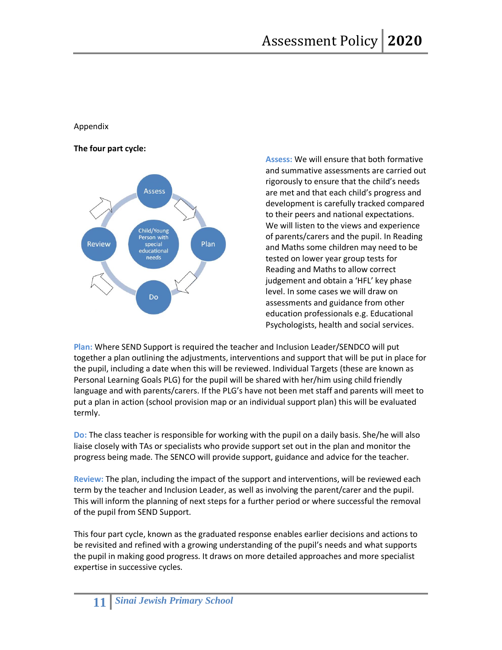#### Appendix

#### **The four part cycle:**



**Assess:** We will ensure that both formative and summative assessments are carried out rigorously to ensure that the child's needs are met and that each child's progress and development is carefully tracked compared to their peers and national expectations. We will listen to the views and experience of parents/carers and the pupil. In Reading and Maths some children may need to be tested on lower year group tests for Reading and Maths to allow correct judgement and obtain a 'HFL' key phase level. In some cases we will draw on assessments and guidance from other education professionals e.g. Educational Psychologists, health and social services.

**Plan:** Where SEND Support is required the teacher and Inclusion Leader/SENDCO will put together a plan outlining the adjustments, interventions and support that will be put in place for the pupil, including a date when this will be reviewed. Individual Targets (these are known as Personal Learning Goals PLG) for the pupil will be shared with her/him using child friendly language and with parents/carers. If the PLG's have not been met staff and parents will meet to put a plan in action (school provision map or an individual support plan) this will be evaluated termly.

**Do:** The class teacher is responsible for working with the pupil on a daily basis. She/he will also liaise closely with TAs or specialists who provide support set out in the plan and monitor the progress being made. The SENCO will provide support, guidance and advice for the teacher.

**Review:** The plan, including the impact of the support and interventions, will be reviewed each term by the teacher and Inclusion Leader, as well as involving the parent/carer and the pupil. This will inform the planning of next steps for a further period or where successful the removal of the pupil from SEND Support.

This four part cycle, known as the graduated response enables earlier decisions and actions to be revisited and refined with a growing understanding of the pupil's needs and what supports the pupil in making good progress. It draws on more detailed approaches and more specialist expertise in successive cycles.